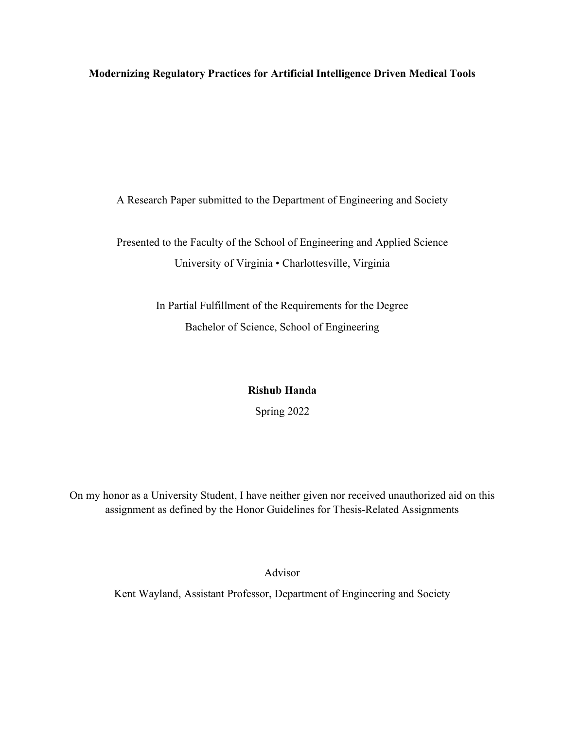**Modernizing Regulatory Practices for Artificial Intelligence Driven Medical Tools**

A Research Paper submitted to the Department of Engineering and Society

Presented to the Faculty of the School of Engineering and Applied Science University of Virginia • Charlottesville, Virginia

> In Partial Fulfillment of the Requirements for the Degree Bachelor of Science, School of Engineering

# **Rishub Handa**

Spring 2022

On my honor as a University Student, I have neither given nor received unauthorized aid on this assignment as defined by the Honor Guidelines for Thesis-Related Assignments

Advisor

Kent Wayland, Assistant Professor, Department of Engineering and Society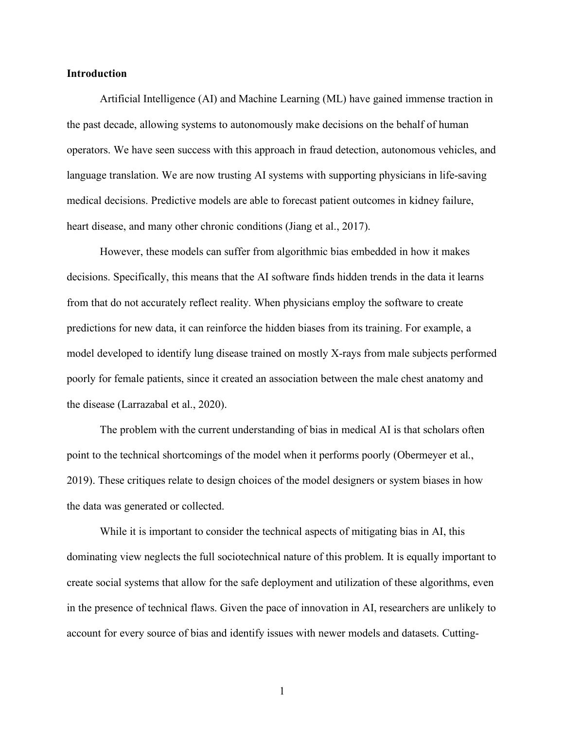# **Introduction**

Artificial Intelligence (AI) and Machine Learning (ML) have gained immense traction in the past decade, allowing systems to autonomously make decisions on the behalf of human operators. We have seen success with this approach in fraud detection, autonomous vehicles, and language translation. We are now trusting AI systems with supporting physicians in life-saving medical decisions. Predictive models are able to forecast patient outcomes in kidney failure, heart disease, and many other chronic conditions (Jiang et al., 2017).

However, these models can suffer from algorithmic bias embedded in how it makes decisions. Specifically, this means that the AI software finds hidden trends in the data it learns from that do not accurately reflect reality. When physicians employ the software to create predictions for new data, it can reinforce the hidden biases from its training. For example, a model developed to identify lung disease trained on mostly X-rays from male subjects performed poorly for female patients, since it created an association between the male chest anatomy and the disease (Larrazabal et al., 2020).

The problem with the current understanding of bias in medical AI is that scholars often point to the technical shortcomings of the model when it performs poorly (Obermeyer et al., 2019). These critiques relate to design choices of the model designers or system biases in how the data was generated or collected.

While it is important to consider the technical aspects of mitigating bias in AI, this dominating view neglects the full sociotechnical nature of this problem. It is equally important to create social systems that allow for the safe deployment and utilization of these algorithms, even in the presence of technical flaws. Given the pace of innovation in AI, researchers are unlikely to account for every source of bias and identify issues with newer models and datasets. Cutting-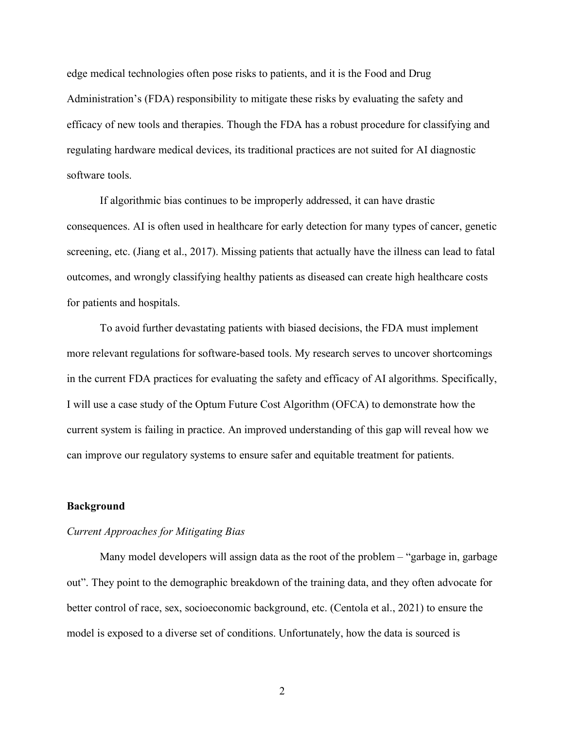edge medical technologies often pose risks to patients, and it is the Food and Drug Administration's (FDA) responsibility to mitigate these risks by evaluating the safety and efficacy of new tools and therapies. Though the FDA has a robust procedure for classifying and regulating hardware medical devices, its traditional practices are not suited for AI diagnostic software tools.

If algorithmic bias continues to be improperly addressed, it can have drastic consequences. AI is often used in healthcare for early detection for many types of cancer, genetic screening, etc. (Jiang et al., 2017). Missing patients that actually have the illness can lead to fatal outcomes, and wrongly classifying healthy patients as diseased can create high healthcare costs for patients and hospitals.

To avoid further devastating patients with biased decisions, the FDA must implement more relevant regulations for software-based tools. My research serves to uncover shortcomings in the current FDA practices for evaluating the safety and efficacy of AI algorithms. Specifically, I will use a case study of the Optum Future Cost Algorithm (OFCA) to demonstrate how the current system is failing in practice. An improved understanding of this gap will reveal how we can improve our regulatory systems to ensure safer and equitable treatment for patients.

### **Background**

# *Current Approaches for Mitigating Bias*

Many model developers will assign data as the root of the problem – "garbage in, garbage out". They point to the demographic breakdown of the training data, and they often advocate for better control of race, sex, socioeconomic background, etc. (Centola et al., 2021) to ensure the model is exposed to a diverse set of conditions. Unfortunately, how the data is sourced is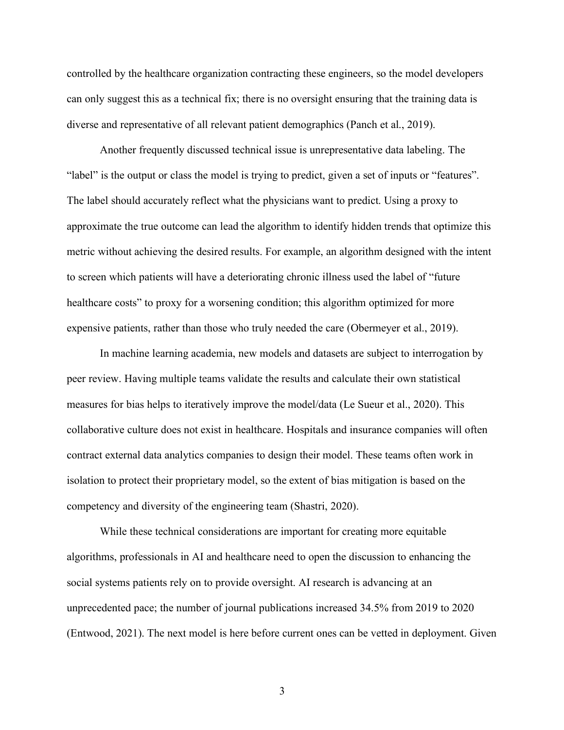controlled by the healthcare organization contracting these engineers, so the model developers can only suggest this as a technical fix; there is no oversight ensuring that the training data is diverse and representative of all relevant patient demographics (Panch et al., 2019).

Another frequently discussed technical issue is unrepresentative data labeling. The "label" is the output or class the model is trying to predict, given a set of inputs or "features". The label should accurately reflect what the physicians want to predict. Using a proxy to approximate the true outcome can lead the algorithm to identify hidden trends that optimize this metric without achieving the desired results. For example, an algorithm designed with the intent to screen which patients will have a deteriorating chronic illness used the label of "future healthcare costs" to proxy for a worsening condition; this algorithm optimized for more expensive patients, rather than those who truly needed the care (Obermeyer et al., 2019).

In machine learning academia, new models and datasets are subject to interrogation by peer review. Having multiple teams validate the results and calculate their own statistical measures for bias helps to iteratively improve the model/data (Le Sueur et al., 2020). This collaborative culture does not exist in healthcare. Hospitals and insurance companies will often contract external data analytics companies to design their model. These teams often work in isolation to protect their proprietary model, so the extent of bias mitigation is based on the competency and diversity of the engineering team (Shastri, 2020).

While these technical considerations are important for creating more equitable algorithms, professionals in AI and healthcare need to open the discussion to enhancing the social systems patients rely on to provide oversight. AI research is advancing at an unprecedented pace; the number of journal publications increased 34.5% from 2019 to 2020 (Entwood, 2021). The next model is here before current ones can be vetted in deployment. Given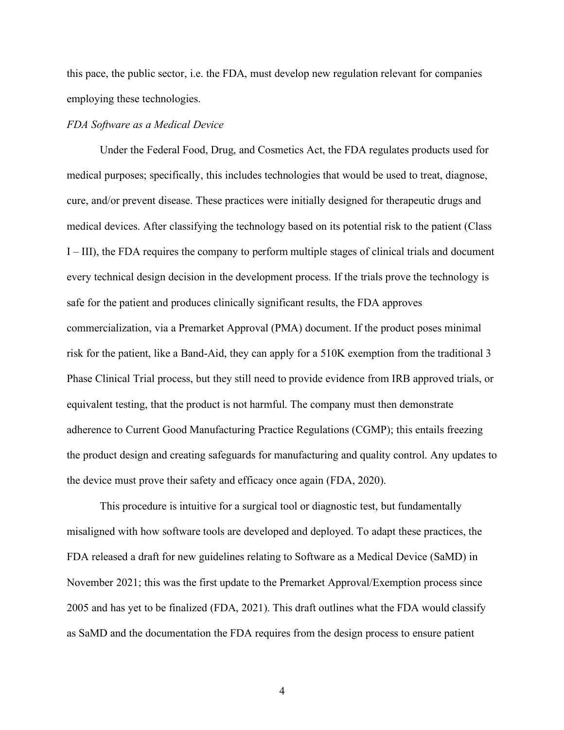this pace, the public sector, i.e. the FDA, must develop new regulation relevant for companies employing these technologies.

# *FDA Software as a Medical Device*

Under the Federal Food, Drug, and Cosmetics Act, the FDA regulates products used for medical purposes; specifically, this includes technologies that would be used to treat, diagnose, cure, and/or prevent disease. These practices were initially designed for therapeutic drugs and medical devices. After classifying the technology based on its potential risk to the patient (Class I – III), the FDA requires the company to perform multiple stages of clinical trials and document every technical design decision in the development process. If the trials prove the technology is safe for the patient and produces clinically significant results, the FDA approves commercialization, via a Premarket Approval (PMA) document. If the product poses minimal risk for the patient, like a Band-Aid, they can apply for a 510K exemption from the traditional 3 Phase Clinical Trial process, but they still need to provide evidence from IRB approved trials, or equivalent testing, that the product is not harmful. The company must then demonstrate adherence to Current Good Manufacturing Practice Regulations (CGMP); this entails freezing the product design and creating safeguards for manufacturing and quality control. Any updates to the device must prove their safety and efficacy once again (FDA, 2020).

This procedure is intuitive for a surgical tool or diagnostic test, but fundamentally misaligned with how software tools are developed and deployed. To adapt these practices, the FDA released a draft for new guidelines relating to Software as a Medical Device (SaMD) in November 2021; this was the first update to the Premarket Approval/Exemption process since 2005 and has yet to be finalized (FDA, 2021). This draft outlines what the FDA would classify as SaMD and the documentation the FDA requires from the design process to ensure patient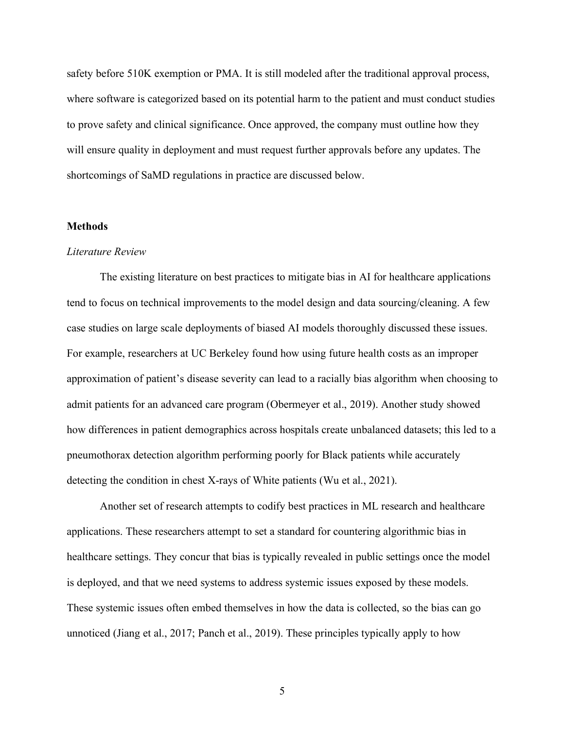safety before 510K exemption or PMA. It is still modeled after the traditional approval process, where software is categorized based on its potential harm to the patient and must conduct studies to prove safety and clinical significance. Once approved, the company must outline how they will ensure quality in deployment and must request further approvals before any updates. The shortcomings of SaMD regulations in practice are discussed below.

# **Methods**

# *Literature Review*

The existing literature on best practices to mitigate bias in AI for healthcare applications tend to focus on technical improvements to the model design and data sourcing/cleaning. A few case studies on large scale deployments of biased AI models thoroughly discussed these issues. For example, researchers at UC Berkeley found how using future health costs as an improper approximation of patient's disease severity can lead to a racially bias algorithm when choosing to admit patients for an advanced care program (Obermeyer et al., 2019). Another study showed how differences in patient demographics across hospitals create unbalanced datasets; this led to a pneumothorax detection algorithm performing poorly for Black patients while accurately detecting the condition in chest X-rays of White patients (Wu et al., 2021).

Another set of research attempts to codify best practices in ML research and healthcare applications. These researchers attempt to set a standard for countering algorithmic bias in healthcare settings. They concur that bias is typically revealed in public settings once the model is deployed, and that we need systems to address systemic issues exposed by these models. These systemic issues often embed themselves in how the data is collected, so the bias can go unnoticed (Jiang et al., 2017; Panch et al., 2019). These principles typically apply to how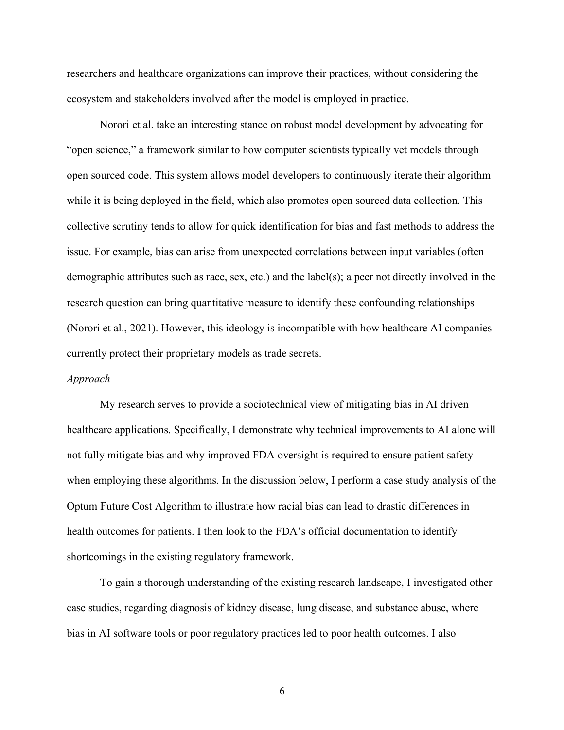researchers and healthcare organizations can improve their practices, without considering the ecosystem and stakeholders involved after the model is employed in practice.

Norori et al. take an interesting stance on robust model development by advocating for "open science," a framework similar to how computer scientists typically vet models through open sourced code. This system allows model developers to continuously iterate their algorithm while it is being deployed in the field, which also promotes open sourced data collection. This collective scrutiny tends to allow for quick identification for bias and fast methods to address the issue. For example, bias can arise from unexpected correlations between input variables (often demographic attributes such as race, sex, etc.) and the label(s); a peer not directly involved in the research question can bring quantitative measure to identify these confounding relationships (Norori et al., 2021). However, this ideology is incompatible with how healthcare AI companies currently protect their proprietary models as trade secrets.

#### *Approach*

My research serves to provide a sociotechnical view of mitigating bias in AI driven healthcare applications. Specifically, I demonstrate why technical improvements to AI alone will not fully mitigate bias and why improved FDA oversight is required to ensure patient safety when employing these algorithms. In the discussion below, I perform a case study analysis of the Optum Future Cost Algorithm to illustrate how racial bias can lead to drastic differences in health outcomes for patients. I then look to the FDA's official documentation to identify shortcomings in the existing regulatory framework.

To gain a thorough understanding of the existing research landscape, I investigated other case studies, regarding diagnosis of kidney disease, lung disease, and substance abuse, where bias in AI software tools or poor regulatory practices led to poor health outcomes. I also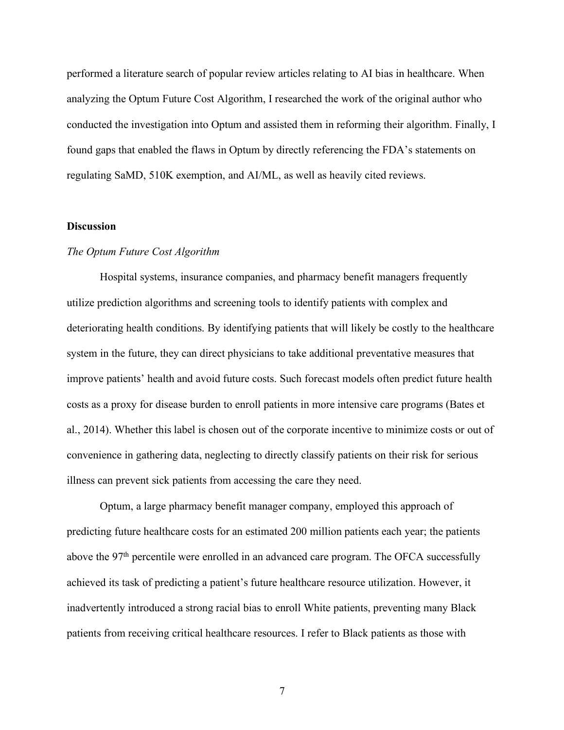performed a literature search of popular review articles relating to AI bias in healthcare. When analyzing the Optum Future Cost Algorithm, I researched the work of the original author who conducted the investigation into Optum and assisted them in reforming their algorithm. Finally, I found gaps that enabled the flaws in Optum by directly referencing the FDA's statements on regulating SaMD, 510K exemption, and AI/ML, as well as heavily cited reviews.

# **Discussion**

# *The Optum Future Cost Algorithm*

Hospital systems, insurance companies, and pharmacy benefit managers frequently utilize prediction algorithms and screening tools to identify patients with complex and deteriorating health conditions. By identifying patients that will likely be costly to the healthcare system in the future, they can direct physicians to take additional preventative measures that improve patients' health and avoid future costs. Such forecast models often predict future health costs as a proxy for disease burden to enroll patients in more intensive care programs (Bates et al., 2014). Whether this label is chosen out of the corporate incentive to minimize costs or out of convenience in gathering data, neglecting to directly classify patients on their risk for serious illness can prevent sick patients from accessing the care they need.

Optum, a large pharmacy benefit manager company, employed this approach of predicting future healthcare costs for an estimated 200 million patients each year; the patients above the 97<sup>th</sup> percentile were enrolled in an advanced care program. The OFCA successfully achieved its task of predicting a patient's future healthcare resource utilization. However, it inadvertently introduced a strong racial bias to enroll White patients, preventing many Black patients from receiving critical healthcare resources. I refer to Black patients as those with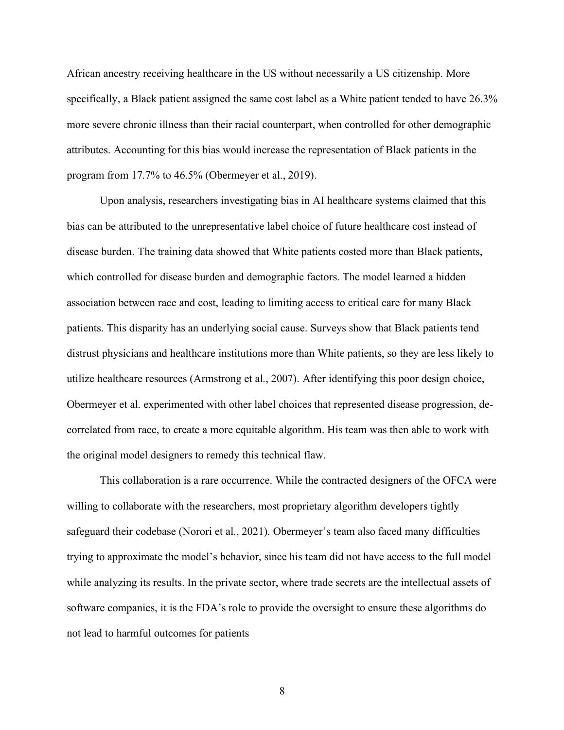African ancestry receiving healthcare in the US without necessarily a US citizenship. More specifically, a Black patient assigned the same cost label as a White patient tended to have 26.3% more severe chronic illness than their racial counterpart, when controlled for other demographic attributes. Accounting for this bias would increase the representation of Black patients in the program from 17.7% to 46.5% (Obermeyer et al., 2019).

Upon analysis, researchers investigating bias in AI healthcare systems claimed that this bias can be attributed to the unrepresentative label choice of future healthcare cost instead of disease burden. The training data showed that White patients costed more than Black patients, which controlled for disease burden and demographic factors. The model learned a hidden association between race and cost, leading to limiting access to critical care for many Black patients. This disparity has an underlying social cause. Surveys show that Black patients tend distrust physicians and healthcare institutions more than White patients, so they are less likely to utilize healthcare resources (Armstrong et al., 2007). After identifying this poor design choice, Obermeyer et al. experimented with other label choices that represented disease progression, decorrelated from race, to create a more equitable algorithm. His team was then able to work with the original model designers to remedy this technical flaw.

This collaboration is a rare occurrence. While the contracted designers of the OFCA were willing to collaborate with the researchers, most proprietary algorithm developers tightly safeguard their codebase (Norori et al., 2021). Obermeyer's team also faced many difficulties trying to approximate the model's behavior, since his team did not have access to the full model while analyzing its results. In the private sector, where trade secrets are the intellectual assets of software companies, it is the FDA's role to provide the oversight to ensure these algorithms do not lead to harmful outcomes for patients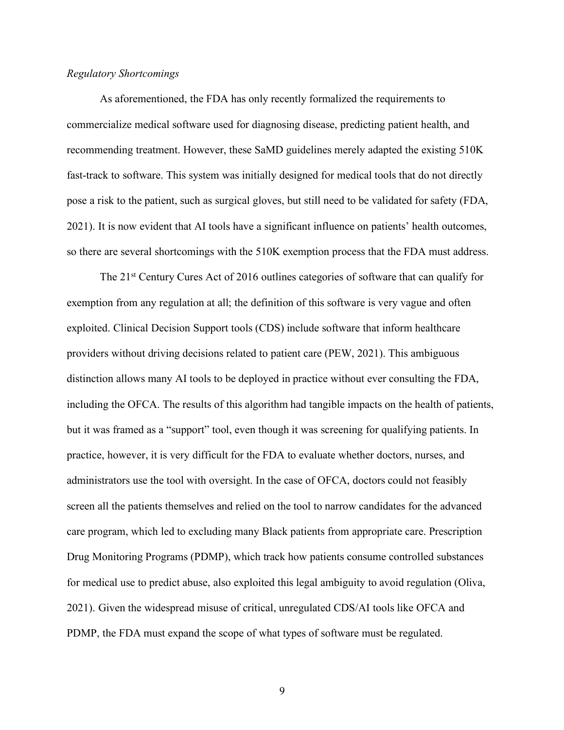# *Regulatory Shortcomings*

As aforementioned, the FDA has only recently formalized the requirements to commercialize medical software used for diagnosing disease, predicting patient health, and recommending treatment. However, these SaMD guidelines merely adapted the existing 510K fast-track to software. This system was initially designed for medical tools that do not directly pose a risk to the patient, such as surgical gloves, but still need to be validated for safety (FDA, 2021). It is now evident that AI tools have a significant influence on patients' health outcomes, so there are several shortcomings with the 510K exemption process that the FDA must address.

The 21<sup>st</sup> Century Cures Act of 2016 outlines categories of software that can qualify for exemption from any regulation at all; the definition of this software is very vague and often exploited. Clinical Decision Support tools (CDS) include software that inform healthcare providers without driving decisions related to patient care (PEW, 2021). This ambiguous distinction allows many AI tools to be deployed in practice without ever consulting the FDA, including the OFCA. The results of this algorithm had tangible impacts on the health of patients, but it was framed as a "support" tool, even though it was screening for qualifying patients. In practice, however, it is very difficult for the FDA to evaluate whether doctors, nurses, and administrators use the tool with oversight. In the case of OFCA, doctors could not feasibly screen all the patients themselves and relied on the tool to narrow candidates for the advanced care program, which led to excluding many Black patients from appropriate care. Prescription Drug Monitoring Programs (PDMP), which track how patients consume controlled substances for medical use to predict abuse, also exploited this legal ambiguity to avoid regulation (Oliva, 2021). Given the widespread misuse of critical, unregulated CDS/AI tools like OFCA and PDMP, the FDA must expand the scope of what types of software must be regulated.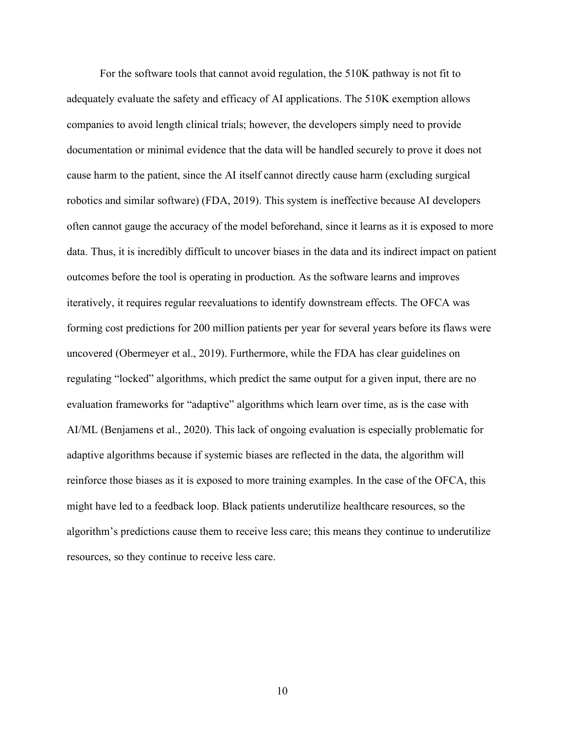For the software tools that cannot avoid regulation, the 510K pathway is not fit to adequately evaluate the safety and efficacy of AI applications. The 510K exemption allows companies to avoid length clinical trials; however, the developers simply need to provide documentation or minimal evidence that the data will be handled securely to prove it does not cause harm to the patient, since the AI itself cannot directly cause harm (excluding surgical robotics and similar software) (FDA, 2019). This system is ineffective because AI developers often cannot gauge the accuracy of the model beforehand, since it learns as it is exposed to more data. Thus, it is incredibly difficult to uncover biases in the data and its indirect impact on patient outcomes before the tool is operating in production. As the software learns and improves iteratively, it requires regular reevaluations to identify downstream effects. The OFCA was forming cost predictions for 200 million patients per year for several years before its flaws were uncovered (Obermeyer et al., 2019). Furthermore, while the FDA has clear guidelines on regulating "locked" algorithms, which predict the same output for a given input, there are no evaluation frameworks for "adaptive" algorithms which learn over time, as is the case with AI/ML (Benjamens et al., 2020). This lack of ongoing evaluation is especially problematic for adaptive algorithms because if systemic biases are reflected in the data, the algorithm will reinforce those biases as it is exposed to more training examples. In the case of the OFCA, this might have led to a feedback loop. Black patients underutilize healthcare resources, so the algorithm's predictions cause them to receive less care; this means they continue to underutilize resources, so they continue to receive less care.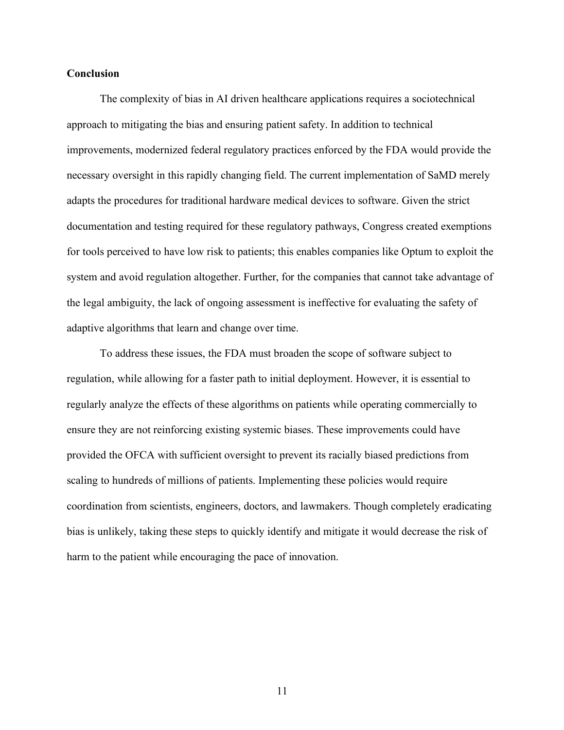# **Conclusion**

The complexity of bias in AI driven healthcare applications requires a sociotechnical approach to mitigating the bias and ensuring patient safety. In addition to technical improvements, modernized federal regulatory practices enforced by the FDA would provide the necessary oversight in this rapidly changing field. The current implementation of SaMD merely adapts the procedures for traditional hardware medical devices to software. Given the strict documentation and testing required for these regulatory pathways, Congress created exemptions for tools perceived to have low risk to patients; this enables companies like Optum to exploit the system and avoid regulation altogether. Further, for the companies that cannot take advantage of the legal ambiguity, the lack of ongoing assessment is ineffective for evaluating the safety of adaptive algorithms that learn and change over time.

To address these issues, the FDA must broaden the scope of software subject to regulation, while allowing for a faster path to initial deployment. However, it is essential to regularly analyze the effects of these algorithms on patients while operating commercially to ensure they are not reinforcing existing systemic biases. These improvements could have provided the OFCA with sufficient oversight to prevent its racially biased predictions from scaling to hundreds of millions of patients. Implementing these policies would require coordination from scientists, engineers, doctors, and lawmakers. Though completely eradicating bias is unlikely, taking these steps to quickly identify and mitigate it would decrease the risk of harm to the patient while encouraging the pace of innovation.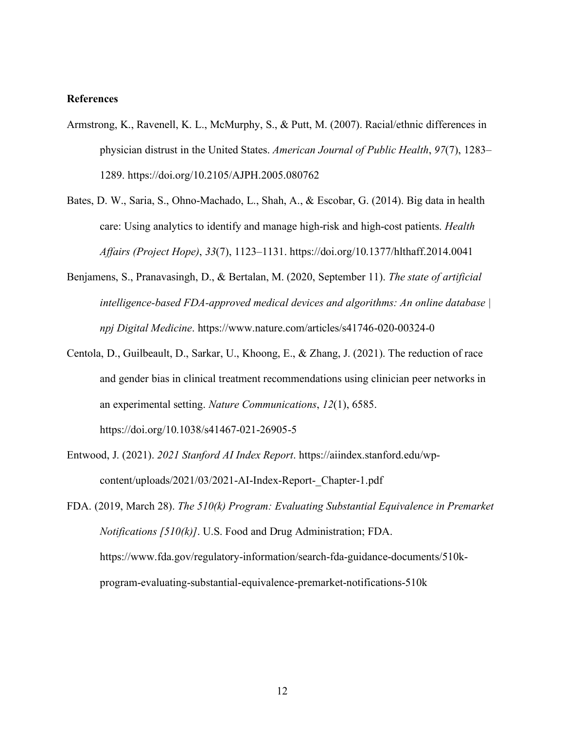# **References**

- Armstrong, K., Ravenell, K. L., McMurphy, S., & Putt, M. (2007). Racial/ethnic differences in physician distrust in the United States. *American Journal of Public Health*, *97*(7), 1283– 1289. https://doi.org/10.2105/AJPH.2005.080762
- Bates, D. W., Saria, S., Ohno-Machado, L., Shah, A., & Escobar, G. (2014). Big data in health care: Using analytics to identify and manage high-risk and high-cost patients. *Health Affairs (Project Hope)*, *33*(7), 1123–1131. https://doi.org/10.1377/hlthaff.2014.0041
- Benjamens, S., Pranavasingh, D., & Bertalan, M. (2020, September 11). *The state of artificial intelligence-based FDA-approved medical devices and algorithms: An online database | npj Digital Medicine*. https://www.nature.com/articles/s41746-020-00324-0
- Centola, D., Guilbeault, D., Sarkar, U., Khoong, E., & Zhang, J. (2021). The reduction of race and gender bias in clinical treatment recommendations using clinician peer networks in an experimental setting. *Nature Communications*, *12*(1), 6585. https://doi.org/10.1038/s41467-021-26905-5
- Entwood, J. (2021). *2021 Stanford AI Index Report*. https://aiindex.stanford.edu/wpcontent/uploads/2021/03/2021-AI-Index-Report- Chapter-1.pdf

FDA. (2019, March 28). *The 510(k) Program: Evaluating Substantial Equivalence in Premarket Notifications [510(k)]*. U.S. Food and Drug Administration; FDA. https://www.fda.gov/regulatory-information/search-fda-guidance-documents/510kprogram-evaluating-substantial-equivalence-premarket-notifications-510k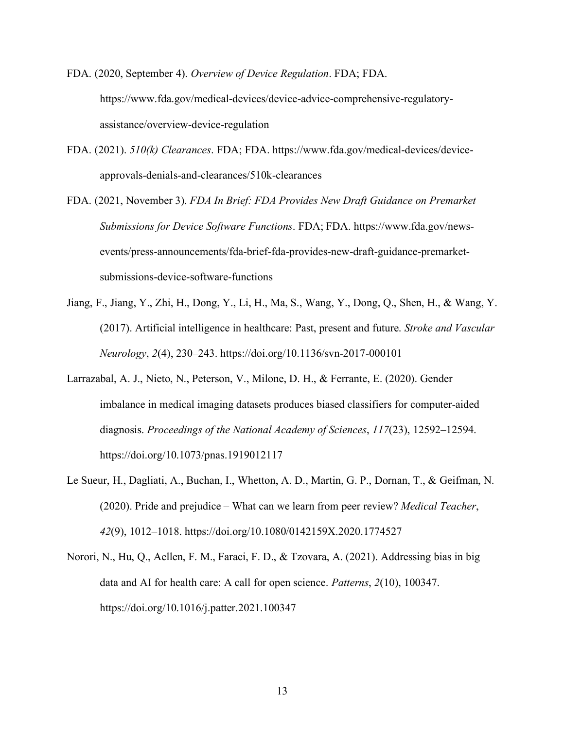- FDA. (2020, September 4). *Overview of Device Regulation*. FDA; FDA. https://www.fda.gov/medical-devices/device-advice-comprehensive-regulatoryassistance/overview-device-regulation
- FDA. (2021). *510(k) Clearances*. FDA; FDA. https://www.fda.gov/medical-devices/deviceapprovals-denials-and-clearances/510k-clearances
- FDA. (2021, November 3). *FDA In Brief: FDA Provides New Draft Guidance on Premarket Submissions for Device Software Functions*. FDA; FDA. https://www.fda.gov/newsevents/press-announcements/fda-brief-fda-provides-new-draft-guidance-premarketsubmissions-device-software-functions
- Jiang, F., Jiang, Y., Zhi, H., Dong, Y., Li, H., Ma, S., Wang, Y., Dong, Q., Shen, H., & Wang, Y. (2017). Artificial intelligence in healthcare: Past, present and future. *Stroke and Vascular Neurology*, *2*(4), 230–243. https://doi.org/10.1136/svn-2017-000101
- Larrazabal, A. J., Nieto, N., Peterson, V., Milone, D. H., & Ferrante, E. (2020). Gender imbalance in medical imaging datasets produces biased classifiers for computer-aided diagnosis. *Proceedings of the National Academy of Sciences*, *117*(23), 12592–12594. https://doi.org/10.1073/pnas.1919012117
- Le Sueur, H., Dagliati, A., Buchan, I., Whetton, A. D., Martin, G. P., Dornan, T., & Geifman, N. (2020). Pride and prejudice – What can we learn from peer review? *Medical Teacher*, *42*(9), 1012–1018. https://doi.org/10.1080/0142159X.2020.1774527
- Norori, N., Hu, Q., Aellen, F. M., Faraci, F. D., & Tzovara, A. (2021). Addressing bias in big data and AI for health care: A call for open science. *Patterns*, *2*(10), 100347. https://doi.org/10.1016/j.patter.2021.100347